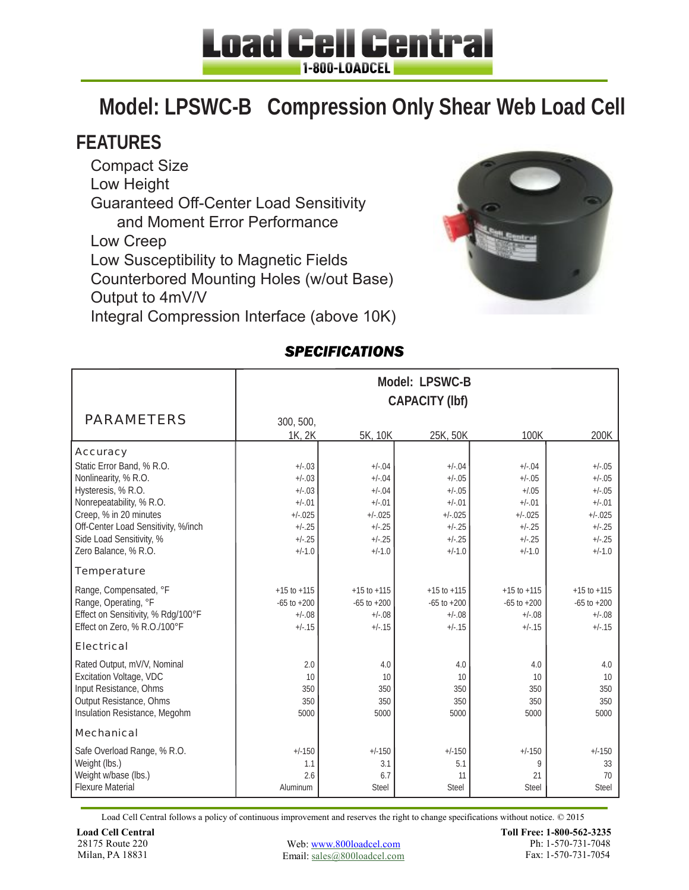## **Load Cell Central** 1-800-LOADCEL

# **Model: LPSWC-B Compression Only Shear Web Load Cell**

### **FEATURES**

Compact Size Low Height Guaranteed Off-Center Load Sensitivity and Moment Error Performance Low Creep Low Susceptibility to Magnetic Fields Counterbored Mounting Holes (w/out Base) Output to 4mV/V Integral Compression Interface (above 10K)



### *SPECIFICATIONS*

|                                                | Model: LPSWC-B<br><b>CAPACITY (Ibf)</b> |                      |                     |                     |                     |  |  |
|------------------------------------------------|-----------------------------------------|----------------------|---------------------|---------------------|---------------------|--|--|
| <b>PARAMETERS</b>                              | 300, 500,<br>1K, 2K                     | 5K, 10K              | 25K, 50K            | 100K                | 200K                |  |  |
| <b>Accuracy</b>                                |                                         |                      |                     |                     |                     |  |  |
| Static Error Band, % R.O.                      | $+/-03$                                 | $+/-.04$             | $+/-04$             | $+/-04$             | $+/-.05$            |  |  |
| Nonlinearity, % R.O.                           | $+/-03$                                 | $+/-.04$             | $+/-.05$            | $+/-05$             | $+/-05$             |  |  |
| Hysteresis, % R.O.<br>Nonrepeatability, % R.O. | $+/-03$<br>$+/-.01$                     | $+/-.04$<br>$+/-.01$ | $+/-05$<br>$+/-.01$ | $+1.05$<br>$+/-.01$ | $+/-05$<br>$+/-.01$ |  |  |
| Creep, % in 20 minutes                         | $+/-025$                                | $+/-025$             | $+/-0.025$          | $+/-025$            | $+/-025$            |  |  |
| Off-Center Load Sensitivity, %/inch            | $+/-.25$                                | $+/-25$              | $+/-25$             | $+/-.25$            | $+/-25$             |  |  |
| Side Load Sensitivity, %                       | $+/-25$                                 | $+/-25$              | $+/-25$             | $+/-25$             | $+/-25$             |  |  |
| Zero Balance, % R.O.                           | $+/-1.0$                                | $+/-1.0$             | $+/-1.0$            | $+/-1.0$            | $+/-1.0$            |  |  |
| <b>Temperature</b>                             |                                         |                      |                     |                     |                     |  |  |
| Range, Compensated, °F                         | $+15$ to $+115$                         | $+15$ to $+115$      | $+15$ to $+115$     | $+15$ to $+115$     | $+15$ to $+115$     |  |  |
| Range, Operating, °F                           | $-65$ to $+200$                         | $-65$ to $+200$      | $-65$ to $+200$     | $-65$ to $+200$     | $-65$ to $+200$     |  |  |
| Effect on Sensitivity, % Rdg/100°F             | $+/-.08$                                | $+/-.08$             | $+/-.08$            | $+/-.08$            | $+/-.08$            |  |  |
| Effect on Zero, % R.O./100°F                   | $+/-.15$                                | $+/-15$              | $+/-15$             | $+/-15$             | $+/-15$             |  |  |
| <b>Electrical</b>                              |                                         |                      |                     |                     |                     |  |  |
| Rated Output, mV/V, Nominal                    | 2.0                                     | 4.0                  | 4.0                 | 4.0                 | 4.0                 |  |  |
| Excitation Voltage, VDC                        | 10                                      | 10                   | 10                  | 10                  | 10                  |  |  |
| Input Resistance, Ohms                         | 350                                     | 350                  | 350                 | 350                 | 350                 |  |  |
| Output Resistance, Ohms                        | 350                                     | 350                  | 350                 | 350                 | 350                 |  |  |
| Insulation Resistance, Megohm                  | 5000                                    | 5000                 | 5000                | 5000                | 5000                |  |  |
| Mechanical                                     |                                         |                      |                     |                     |                     |  |  |
| Safe Overload Range, % R.O.                    | $+/-150$                                | $+/-150$             | $+/-150$            | $+/-150$            | $+/-150$            |  |  |
| Weight (lbs.)                                  | 1.1                                     | 3.1                  | 5.1                 | 9                   | 33                  |  |  |
| Weight w/base (lbs.)                           | 2.6                                     | 6.7                  | 11                  | 21                  | 70                  |  |  |
| <b>Flexure Material</b>                        | Aluminum                                | Steel                | Steel               | Steel               | Steel               |  |  |

Load Cell Central follows a policy of continuous improvement and reserves the right to change specifications without notice. © 2015